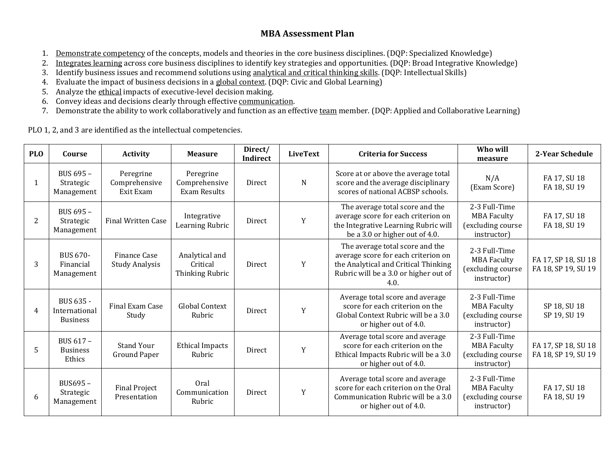# **MBA Assessment Plan**

- 1. Demonstrate competency of the concepts, models and theories in the core business disciplines. (DQP: Specialized Knowledge)
- 2. Integrates learning across core business disciplines to identify key strategies and opportunities. (DQP: Broad Integrative Knowledge)
- 3. Identify business issues and recommend solutions using analytical and critical thinking skills. (DQP: Intellectual Skills)
- 4. Evaluate the impact of business decisions in a global context. (DQP: Civic and Global Learning)
- 5. Analyze the ethical impacts of executive-level decision making.
- 6. Convey ideas and decisions clearly through effective communication.
- 7. Demonstrate the ability to work collaboratively and function as an effective team member. (DQP: Applied and Collaborative Learning)

PLO 1, 2, and 3 are identified as the intellectual competencies.

| <b>PLO</b> | Course                                        | <b>Activity</b>                         | <b>Measure</b>                                    | Direct/<br><b>Indirect</b> | <b>LiveText</b> | <b>Criteria for Success</b>                                                                                                                                     | Who will<br>measure                                                     | 2-Year Schedule                            |
|------------|-----------------------------------------------|-----------------------------------------|---------------------------------------------------|----------------------------|-----------------|-----------------------------------------------------------------------------------------------------------------------------------------------------------------|-------------------------------------------------------------------------|--------------------------------------------|
| 1          | BUS 695 -<br>Strategic<br>Management          | Peregrine<br>Comprehensive<br>Exit Exam | Peregrine<br>Comprehensive<br><b>Exam Results</b> | Direct                     | N               | Score at or above the average total<br>score and the average disciplinary<br>scores of national ACBSP schools.                                                  | N/A<br>(Exam Score)                                                     | FA 17, SU 18<br>FA 18, SU 19               |
| 2          | BUS 695 -<br>Strategic<br>Management          | <b>Final Written Case</b>               | Integrative<br>Learning Rubric                    | <b>Direct</b>              | Y               | The average total score and the<br>average score for each criterion on<br>the Integrative Learning Rubric will<br>be a 3.0 or higher out of 4.0.                | 2-3 Full-Time<br><b>MBA Faculty</b><br>(excluding course<br>instructor) | FA 17, SU 18<br>FA 18, SU 19               |
| 3          | <b>BUS 670-</b><br>Financial<br>Management    | Finance Case<br><b>Study Analysis</b>   | Analytical and<br>Critical<br>Thinking Rubric     | Direct                     | Y               | The average total score and the<br>average score for each criterion on<br>the Analytical and Critical Thinking<br>Rubric will be a 3.0 or higher out of<br>4.0. | 2-3 Full-Time<br><b>MBA Faculty</b><br>(excluding course<br>instructor) | FA 17, SP 18, SU 18<br>FA 18, SP 19, SU 19 |
| 4          | BUS 635 -<br>International<br><b>Business</b> | Final Exam Case<br>Study                | <b>Global Context</b><br>Rubric                   | Direct                     | Y               | Average total score and average<br>score for each criterion on the<br>Global Context Rubric will be a 3.0<br>or higher out of 4.0.                              | 2-3 Full-Time<br><b>MBA Faculty</b><br>(excluding course<br>instructor) | SP 18, SU 18<br>SP 19, SU 19               |
| 5          | BUS 617 -<br><b>Business</b><br>Ethics        | <b>Stand Your</b><br>Ground Paper       | <b>Ethical Impacts</b><br>Rubric                  | Direct                     | Y               | Average total score and average<br>score for each criterion on the<br>Ethical Impacts Rubric will be a 3.0<br>or higher out of 4.0.                             | 2-3 Full-Time<br><b>MBA Faculty</b><br>(excluding course<br>instructor) | FA 17, SP 18, SU 18<br>FA 18, SP 19, SU 19 |
| 6          | BUS695-<br>Strategic<br>Management            | <b>Final Project</b><br>Presentation    | Oral<br>Communication<br>Rubric                   | Direct                     | Y               | Average total score and average<br>score for each criterion on the Oral<br>Communication Rubric will be a 3.0<br>or higher out of 4.0.                          | 2-3 Full-Time<br><b>MBA Faculty</b><br>(excluding course<br>instructor) | FA 17, SU 18<br>FA 18, SU 19               |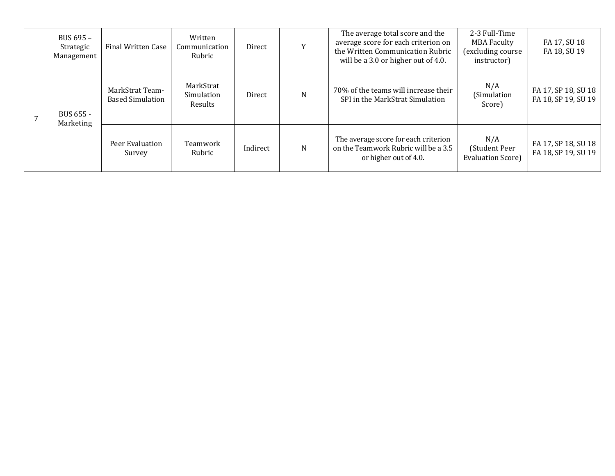|  |  | BUS 695 -<br>Strategic<br>Management | Final Written Case                         | Written<br>Communication<br>Rubric | Direct   |   | The average total score and the<br>average score for each criterion on<br>the Written Communication Rubric<br>will be a 3.0 or higher out of 4.0. | 2-3 Full-Time<br><b>MBA Faculty</b><br>(excluding course<br>instructor) | FA 17, SU 18<br>FA 18, SU 19               |
|--|--|--------------------------------------|--------------------------------------------|------------------------------------|----------|---|---------------------------------------------------------------------------------------------------------------------------------------------------|-------------------------------------------------------------------------|--------------------------------------------|
|  |  | BUS 655 -<br>Marketing               | MarkStrat Team-<br><b>Based Simulation</b> | MarkStrat<br>Simulation<br>Results | Direct   | N | 70% of the teams will increase their<br>SPI in the MarkStrat Simulation                                                                           | N/A<br>(Simulation<br>Score)                                            | FA 17, SP 18, SU 18<br>FA 18, SP 19, SU 19 |
|  |  |                                      | Peer Evaluation<br>Survey                  | Teamwork<br>Rubric                 | Indirect | N | The average score for each criterion<br>on the Teamwork Rubric will be a 3.5<br>or higher out of 4.0.                                             | N/A<br>(Student Peer<br><b>Evaluation Score)</b>                        | FA 17, SP 18, SU 18<br>FA 18, SP 19, SU 19 |